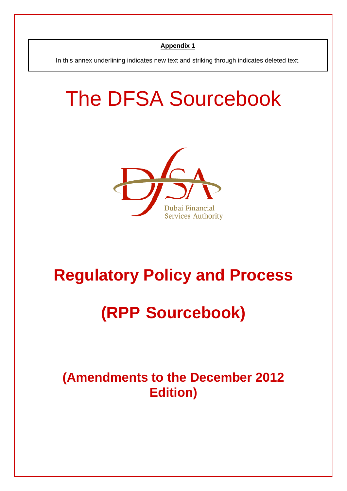In this annex underlining indicates new text and striking through indicates deleted text.

# The DFSA Sourcebook



# **Regulatory Policy and Process**

# **(RPP Sourcebook)**

**(Amendments to the December 2012 Edition)**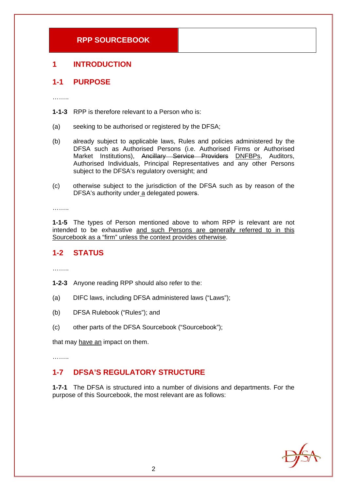# **1 INTRODUCTION**

# **1-1 PURPOSE**

……..

- **1-1-3** RPP is therefore relevant to a Person who is:
- (a) seeking to be authorised or registered by the DFSA;
- (b) already subject to applicable laws, Rules and policies administered by the DFSA such as Authorised Persons (i.e. Authorised Firms or Authorised Market Institutions), Ancillary Service Providers DNFBPs, Auditors, Authorised Individuals, Principal Representatives and any other Persons subject to the DFSA's regulatory oversight; and
- (c) otherwise subject to the jurisdiction of the DFSA such as by reason of the DFSA's authority under a delegated powers.

………

**1-1-5** The types of Person mentioned above to whom RPP is relevant are not intended to be exhaustive and such Persons are generally referred to in this Sourcebook as a "firm" unless the context provides otherwise.

# **1-2 STATUS**

………

- **1-2-3** Anyone reading RPP should also refer to the:
- (a) DIFC laws, including DFSA administered laws ("Laws");
- (b) DFSA Rulebook ("Rules"); and
- (c) other parts of the DFSA Sourcebook ("Sourcebook");

that may have an impact on them.

……..

# **1-7 DFSA'S REGULATORY STRUCTURE**

**1-7-1** The DFSA is structured into a number of divisions and departments. For the purpose of this Sourcebook, the most relevant are as follows:

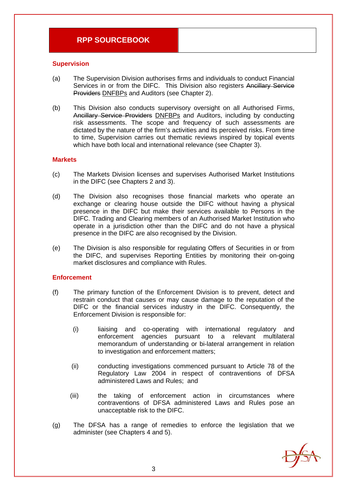#### **Supervision**

- (a) The Supervision Division authorises firms and individuals to conduct Financial Services in or from the DIFC. This Division also registers Ancillary Service Providers DNFBPs and Auditors (see Chapter 2).
- (b) This Division also conducts supervisory oversight on all Authorised Firms, Ancillary Service Providers DNFBPs and Auditors, including by conducting risk assessments. The scope and frequency of such assessments are dictated by the nature of the firm's activities and its perceived risks. From time to time, Supervision carries out thematic reviews inspired by topical events which have both local and international relevance (see Chapter 3).

#### **Markets**

- (c) The Markets Division licenses and supervises Authorised Market Institutions in the DIFC (see Chapters 2 and 3).
- (d) The Division also recognises those financial markets who operate an exchange or clearing house outside the DIFC without having a physical presence in the DIFC but make their services available to Persons in the DIFC. Trading and Clearing members of an Authorised Market Institution who operate in a jurisdiction other than the DIFC and do not have a physical presence in the DIFC are also recognised by the Division.
- (e) The Division is also responsible for regulating Offers of Securities in or from the DIFC, and supervises Reporting Entities by monitoring their on-going market disclosures and compliance with Rules.

#### **Enforcement**

- (f) The primary function of the Enforcement Division is to prevent, detect and restrain conduct that causes or may cause damage to the reputation of the DIFC or the financial services industry in the DIFC. Consequently, the Enforcement Division is responsible for:
	- (i) liaising and co-operating with international regulatory and enforcement agencies pursuant to a relevant multilateral memorandum of understanding or bi-lateral arrangement in relation to investigation and enforcement matters;
	- (ii) conducting investigations commenced pursuant to Article 78 of the Regulatory Law 2004 in respect of contraventions of DFSA administered Laws and Rules; and
	- (iii) the taking of enforcement action in circumstances where contraventions of DFSA administered Laws and Rules pose an unacceptable risk to the DIFC.
- (g) The DFSA has a range of remedies to enforce the legislation that we administer (see Chapters 4 and 5).

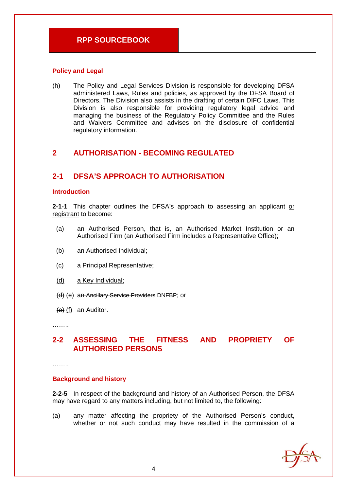#### **Policy and Legal**

(h) The Policy and Legal Services Division is responsible for developing DFSA administered Laws, Rules and policies, as approved by the DFSA Board of Directors. The Division also assists in the drafting of certain DIFC Laws. This Division is also responsible for providing regulatory legal advice and managing the business of the Regulatory Policy Committee and the Rules and Waivers Committee and advises on the disclosure of confidential regulatory information.

# **2 AUTHORISATION - BECOMING REGULATED**

# **2-1 DFSA'S APPROACH TO AUTHORISATION**

#### **Introduction**

**2-1-1** This chapter outlines the DFSA's approach to assessing an applicant or registrant to become:

- (a) an Authorised Person, that is, an Authorised Market Institution or an Authorised Firm (an Authorised Firm includes a Representative Office);
- (b) an Authorised Individual;
- (c) a Principal Representative;
- (d) a Key Individual;
- (d) (e) an Ancillary Service Providers DNFBP; or
- $(e)$  (f) an Auditor.

………

# **2-2 ASSESSING THE FITNESS AND PROPRIETY OF AUTHORISED PERSONS**

………

#### **Background and history**

**2-2-5** In respect of the background and history of an Authorised Person, the DFSA may have regard to any matters including, but not limited to, the following:

(a) any matter affecting the propriety of the Authorised Person's conduct, whether or not such conduct may have resulted in the commission of a

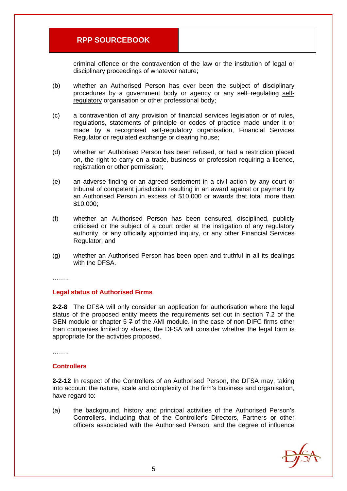criminal offence or the contravention of the law or the institution of legal or disciplinary proceedings of whatever nature;

- (b) whether an Authorised Person has ever been the subject of disciplinary procedures by a government body or agency or any self regulating selfregulatory organisation or other professional body;
- (c) a contravention of any provision of financial services legislation or of rules, regulations, statements of principle or codes of practice made under it or made by a recognised self-regulatory organisation, Financial Services Regulator or regulated exchange or clearing house;
- (d) whether an Authorised Person has been refused, or had a restriction placed on, the right to carry on a trade, business or profession requiring a licence, registration or other permission;
- (e) an adverse finding or an agreed settlement in a civil action by any court or tribunal of competent jurisdiction resulting in an award against or payment by an Authorised Person in excess of \$10,000 or awards that total more than \$10,000;
- (f) whether an Authorised Person has been censured, disciplined, publicly criticised or the subject of a court order at the instigation of any regulatory authority, or any officially appointed inquiry, or any other Financial Services Regulator; and
- (g) whether an Authorised Person has been open and truthful in all its dealings with the DFSA.

………

#### **Legal status of Authorised Firms**

**2-2-8** The DFSA will only consider an application for authorisation where the legal status of the proposed entity meets the requirements set out in section 7.2 of the GEN module or chapter 5 7 of the AMI module. In the case of non-DIFC firms other than companies limited by shares, the DFSA will consider whether the legal form is appropriate for the activities proposed.

……..

#### **Controllers**

**2-2-12** In respect of the Controllers of an Authorised Person, the DFSA may, taking into account the nature, scale and complexity of the firm's business and organisation, have regard to:

(a) the background, history and principal activities of the Authorised Person's Controllers, including that of the Controller's Directors, Partners or other officers associated with the Authorised Person, and the degree of influence

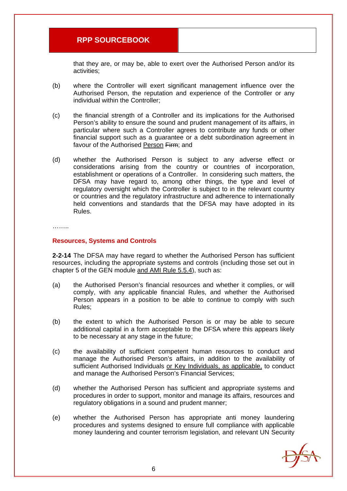that they are, or may be, able to exert over the Authorised Person and/or its activities;

- (b) where the Controller will exert significant management influence over the Authorised Person, the reputation and experience of the Controller or any individual within the Controller;
- (c) the financial strength of a Controller and its implications for the Authorised Person's ability to ensure the sound and prudent management of its affairs, in particular where such a Controller agrees to contribute any funds or other financial support such as a guarantee or a debt subordination agreement in favour of the Authorised Person Firm; and
- (d) whether the Authorised Person is subject to any adverse effect or considerations arising from the country or countries of incorporation, establishment or operations of a Controller. In considering such matters, the DFSA may have regard to, among other things, the type and level of regulatory oversight which the Controller is subject to in the relevant country or countries and the regulatory infrastructure and adherence to internationally held conventions and standards that the DFSA may have adopted in its Rules.

. . . . . . . .

#### **Resources, Systems and Controls**

**2-2-14** The DFSA may have regard to whether the Authorised Person has sufficient resources, including the appropriate systems and controls (including those set out in chapter 5 of the GEN module and AMI Rule 5.5.4), such as:

- (a) the Authorised Person's financial resources and whether it complies, or will comply, with any applicable financial Rules, and whether the Authorised Person appears in a position to be able to continue to comply with such Rules;
- (b) the extent to which the Authorised Person is or may be able to secure additional capital in a form acceptable to the DFSA where this appears likely to be necessary at any stage in the future;
- (c) the availability of sufficient competent human resources to conduct and manage the Authorised Person's affairs, in addition to the availability of sufficient Authorised Individuals or Key Individuals, as applicable, to conduct and manage the Authorised Person's Financial Services;
- (d) whether the Authorised Person has sufficient and appropriate systems and procedures in order to support, monitor and manage its affairs, resources and regulatory obligations in a sound and prudent manner;
- (e) whether the Authorised Person has appropriate anti money laundering procedures and systems designed to ensure full compliance with applicable money laundering and counter terrorism legislation, and relevant UN Security

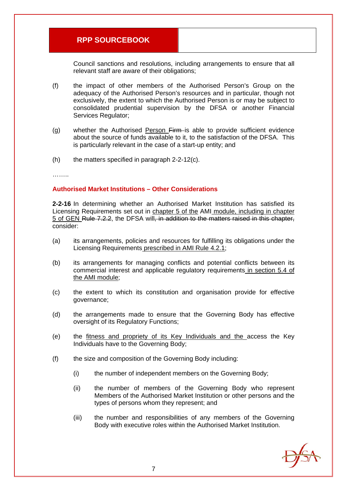Council sanctions and resolutions, including arrangements to ensure that all relevant staff are aware of their obligations;

- (f) the impact of other members of the Authorised Person's Group on the adequacy of the Authorised Person's resources and in particular, though not exclusively, the extent to which the Authorised Person is or may be subject to consolidated prudential supervision by the DFSA or another Financial Services Regulator;
- (g) whether the Authorised Person Firm is able to provide sufficient evidence about the source of funds available to it, to the satisfaction of the DFSA. This is particularly relevant in the case of a start-up entity; and
- $(h)$  the matters specified in paragraph 2-2-12(c).

……..

#### **Authorised Market Institutions – Other Considerations**

**2-2-16** In determining whether an Authorised Market Institution has satisfied its Licensing Requirements set out in chapter 5 of the AMI module, including in chapter 5 of GEN Rule 7.2.2, the DFSA will, in addition to the matters raised in this chapter, consider:

- (a) its arrangements, policies and resources for fulfilling its obligations under the Licensing Requirements prescribed in AMI Rule 4.2.1;
- (b) its arrangements for managing conflicts and potential conflicts between its commercial interest and applicable regulatory requirements in section 5.4 of the AMI module;
- (c) the extent to which its constitution and organisation provide for effective governance;
- (d) the arrangements made to ensure that the Governing Body has effective oversight of its Regulatory Functions;
- (e) the fitness and propriety of its Key Individuals and the access the Key Individuals have to the Governing Body;
- (f) the size and composition of the Governing Body including:
	- (i) the number of independent members on the Governing Body;
	- (ii) the number of members of the Governing Body who represent Members of the Authorised Market Institution or other persons and the types of persons whom they represent; and
	- (iii) the number and responsibilities of any members of the Governing Body with executive roles within the Authorised Market Institution.

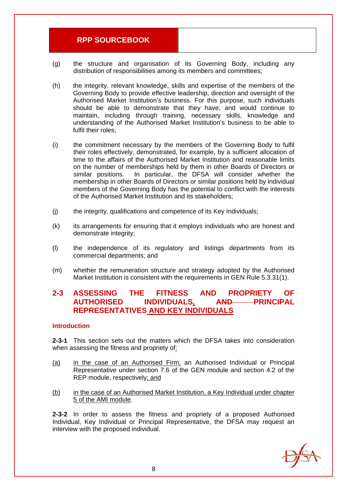- (g) the structure and organisation of its Governing Body, including any distribution of responsibilities among its members and committees;
- (h) the integrity, relevant knowledge, skills and expertise of the members of the Governing Body to provide effective leadership, direction and oversight of the Authorised Market Institution's business. For this purpose, such individuals should be able to demonstrate that they have, and would continue to maintain, including through training, necessary skills, knowledge and understanding of the Authorised Market Institution's business to be able to fulfil their roles;
- (i) the commitment necessary by the members of the Governing Body to fulfil their roles effectively, demonstrated, for example, by a sufficient allocation of time to the affairs of the Authorised Market Institution and reasonable limits on the number of memberships held by them in other Boards of Directors or similar positions. In particular, the DFSA will consider whether the membership in other Boards of Directors or similar positions held by individual members of the Governing Body has the potential to conflict with the interests of the Authorised Market Institution and its stakeholders;
- (j) the integrity, qualifications and competence of its Key Individuals;
- (k) its arrangements for ensuring that it employs individuals who are honest and demonstrate integrity;
- (l) the independence of its regulatory and listings departments from its commercial departments; and
- (m) whether the remuneration structure and strategy adopted by the Authorised Market Institution is consistent with the requirements in GEN Rule 5.3.31(1).

# **2-3 ASSESSING THE FITNESS AND PROPRIETY OF AUTHORISED INDIVIDUALS, AND PRINCIPAL REPRESENTATIVES AND KEY INDIVIDUALS**

#### **Introduction**

**2-3-1** This section sets out the matters which the DFSA takes into consideration when assessing the fitness and propriety of:

- (a) in the case of an Authorised Firm, an Authorised Individual or Principal Representative under section 7.6 of the GEN module and section 4.2 of the REP module, respectively; and
- (b) in the case of an Authorised Market Institution, a Key Individual under chapter 5 of the AMI module.

**2-3-2** In order to assess the fitness and propriety of a proposed Authorised Individual, Key Individual or Principal Representative, the DFSA may request an interview with the proposed individual.

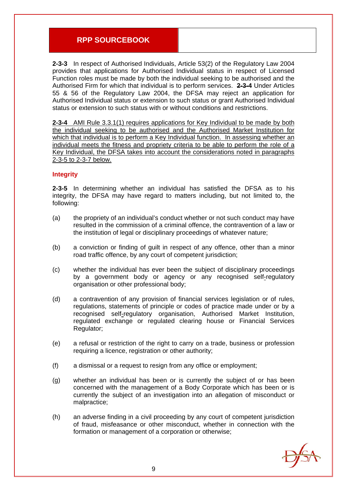**2-3-3** In respect of Authorised Individuals, Article 53(2) of the Regulatory Law 2004 provides that applications for Authorised Individual status in respect of Licensed Function roles must be made by both the individual seeking to be authorised and the Authorised Firm for which that individual is to perform services. **2-3-4** Under Articles 55 & 56 of the Regulatory Law 2004, the DFSA may reject an application for Authorised Individual status or extension to such status or grant Authorised Individual status or extension to such status with or without conditions and restrictions.

**2-3-4** AMI Rule 3.3.1(1) requires applications for Key Individual to be made by both the individual seeking to be authorised and the Authorised Market Institution for which that individual is to perform a Key Individual function. In assessing whether an individual meets the fitness and propriety criteria to be able to perform the role of a Key Individual, the DFSA takes into account the considerations noted in paragraphs 2-3-5 to 2-3-7 below.

#### **Integrity**

**2-3-5** In determining whether an individual has satisfied the DFSA as to his integrity, the DFSA may have regard to matters including, but not limited to, the following:

- (a) the propriety of an individual's conduct whether or not such conduct may have resulted in the commission of a criminal offence, the contravention of a law or the institution of legal or disciplinary proceedings of whatever nature;
- (b) a conviction or finding of guilt in respect of any offence, other than a minor road traffic offence, by any court of competent jurisdiction;
- (c) whether the individual has ever been the subject of disciplinary proceedings by a government body or agency or any recognised self-regulatory organisation or other professional body;
- (d) a contravention of any provision of financial services legislation or of rules, regulations, statements of principle or codes of practice made under or by a recognised self-regulatory organisation, Authorised Market Institution, regulated exchange or regulated clearing house or Financial Services Regulator;
- (e) a refusal or restriction of the right to carry on a trade, business or profession requiring a licence, registration or other authority;
- (f) a dismissal or a request to resign from any office or employment;
- (g) whether an individual has been or is currently the subject of or has been concerned with the management of a Body Corporate which has been or is currently the subject of an investigation into an allegation of misconduct or malpractice;
- (h) an adverse finding in a civil proceeding by any court of competent jurisdiction of fraud, misfeasance or other misconduct, whether in connection with the formation or management of a corporation or otherwise;

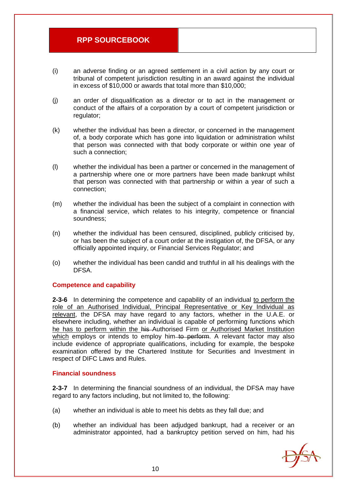- (i) an adverse finding or an agreed settlement in a civil action by any court or tribunal of competent jurisdiction resulting in an award against the individual in excess of \$10,000 or awards that total more than \$10,000;
- (j) an order of disqualification as a director or to act in the management or conduct of the affairs of a corporation by a court of competent jurisdiction or regulator;
- (k) whether the individual has been a director, or concerned in the management of, a body corporate which has gone into liquidation or administration whilst that person was connected with that body corporate or within one year of such a connection;
- (l) whether the individual has been a partner or concerned in the management of a partnership where one or more partners have been made bankrupt whilst that person was connected with that partnership or within a year of such a connection;
- (m) whether the individual has been the subject of a complaint in connection with a financial service, which relates to his integrity, competence or financial soundness;
- (n) whether the individual has been censured, disciplined, publicly criticised by, or has been the subject of a court order at the instigation of, the DFSA, or any officially appointed inquiry, or Financial Services Regulator; and
- (o) whether the individual has been candid and truthful in all his dealings with the DFSA.

#### **Competence and capability**

**2-3-6** In determining the competence and capability of an individual to perform the role of an Authorised Individual, Principal Representative or Key Individual as relevant, the DFSA may have regard to any factors, whether in the U.A.E. or elsewhere including, whether an individual is capable of performing functions which he has to perform within the his Authorised Firm or Authorised Market Institution which employs or intends to employ him–to perform. A relevant factor may also include evidence of appropriate qualifications, including for example, the bespoke examination offered by the Chartered Institute for Securities and Investment in respect of DIFC Laws and Rules.

#### **Financial soundness**

**2-3-7** In determining the financial soundness of an individual, the DFSA may have regard to any factors including, but not limited to, the following:

- (a) whether an individual is able to meet his debts as they fall due; and
- (b) whether an individual has been adjudged bankrupt, had a receiver or an administrator appointed, had a bankruptcy petition served on him, had his

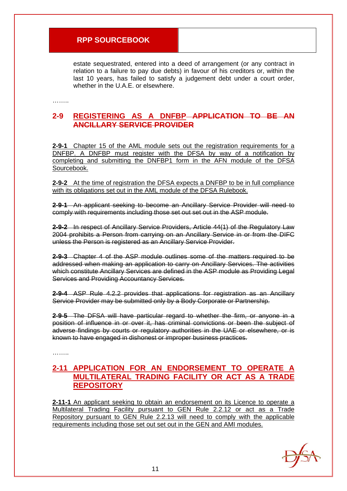estate sequestrated, entered into a deed of arrangement (or any contract in relation to a failure to pay due debts) in favour of his creditors or, within the last 10 years, has failed to satisfy a judgement debt under a court order, whether in the U.A.E. or elsewhere.

………

## **2-9 REGISTERING AS A DNFBP APPLICATION TO BE AN ANCILLARY SERVICE PROVIDER**

**2-9-1** Chapter 15 of the AML module sets out the registration requirements for a DNFBP. A DNFBP must register with the DFSA by way of a notification by completing and submitting the DNFBP1 form in the AFN module of the DFSA Sourcebook.

**2-9-2** At the time of registration the DFSA expects a DNFBP to be in full compliance with its obligations set out in the AML module of the DFSA Rulebook.

**2-9-1** An applicant seeking to become an Ancillary Service Provider will need to comply with requirements including those set out set out in the ASP module.

**2-9-2** In respect of Ancillary Service Providers, Article 44(1) of the Regulatory Law 2004 prohibits a Person from carrying on an Ancillary Service in or from the DIFC unless the Person is registered as an Ancillary Service Provider.

**2-9-3** Chapter 4 of the ASP module outlines some of the matters required to be addressed when making an application to carry on Ancillary Services. The activities which constitute Ancillary Services are defined in the ASP module as Providing Legal Services and Providing Accountancy Services.

**2-9-4** ASP Rule 4.2.2 provides that applications for registration as an Ancillary Service Provider may be submitted only by a Body Corporate or Partnership.

**2-9-5** The DFSA will have particular regard to whether the firm, or anyone in a position of influence in or over it, has criminal convictions or been the subject of adverse findings by courts or regulatory authorities in the UAE or elsewhere, or is known to have engaged in dishonest or improper business practices.

………

# **2-11 APPLICATION FOR AN ENDORSEMENT TO OPERATE A MULTILATERAL TRADING FACILITY OR ACT AS A TRADE REPOSITORY**

**2-11-1** An applicant seeking to obtain an endorsement on its Licence to operate a Multilateral Trading Facility pursuant to GEN Rule 2.2.12 or act as a Trade Repository pursuant to GEN Rule 2.2.13 will need to comply with the applicable requirements including those set out set out in the GEN and AMI modules.

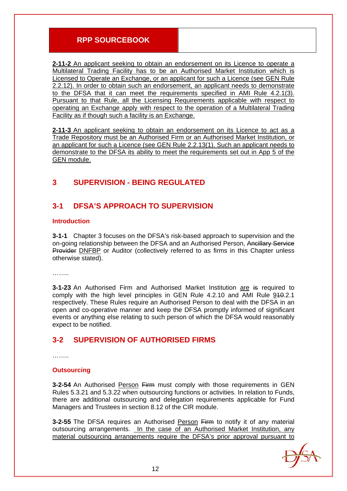**2-11-2** An applicant seeking to obtain an endorsement on its Licence to operate a Multilateral Trading Facility has to be an Authorised Market Institution which is Licensed to Operate an Exchange, or an applicant for such a Licence (see GEN Rule 2.2.12). In order to obtain such an endorsement, an applicant needs to demonstrate to the DFSA that it can meet the requirements specified in AMI Rule 4.2.1(3). Pursuant to that Rule, all the Licensing Requirements applicable with respect to operating an Exchange apply with respect to the operation of a Multilateral Trading Facility as if though such a facility is an Exchange.

**2-11-3** An applicant seeking to obtain an endorsement on its Licence to act as a Trade Repository must be an Authorised Firm or an Authorised Market Institution, or an applicant for such a Licence (see GEN Rule 2.2.13(1). Such an applicant needs to demonstrate to the DFSA its ability to meet the requirements set out in App 5 of the GEN module.

# **3 SUPERVISION - BEING REGULATED**

# **3-1 DFSA'S APPROACH TO SUPERVISION**

#### **Introduction**

**3-1-1** Chapter 3 focuses on the DFSA's risk-based approach to supervision and the on-going relationship between the DFSA and an Authorised Person, Ancillary Service Provider DNFBP or Auditor (collectively referred to as firms in this Chapter unless otherwise stated).

………

**3-1-23** An Authorised Firm and Authorised Market Institution are is required to comply with the high level principles in GEN Rule 4.2.10 and AMI Rule 910.2.1 respectively. These Rules require an Authorised Person to deal with the DFSA in an open and co-operative manner and keep the DFSA promptly informed of significant events or anything else relating to such person of which the DFSA would reasonably expect to be notified.

# **3-2 SUPERVISION OF AUTHORISED FIRMS**

. . . . . . . .

#### **Outsourcing**

**3-2-54** An Authorised Person Firm must comply with those requirements in GEN Rules 5.3.21 and 5.3.22 when outsourcing functions or activities. In relation to Funds, there are additional outsourcing and delegation requirements applicable for Fund Managers and Trustees in section 8.12 of the CIR module.

**3-2-55** The DFSA requires an Authorised Person Firm to notify it of any material outsourcing arrangements. In the case of an Authorised Market Institution, any material outsourcing arrangements require the DFSA's prior approval pursuant to

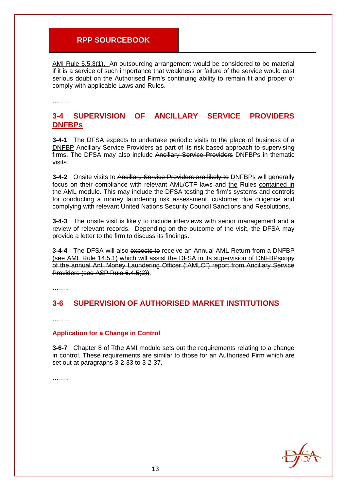AMI Rule 5.5.3(1). An outsourcing arrangement would be considered to be material if it is a service of such importance that weakness or failure of the service would cast serious doubt on the Authorised Firm's continuing ability to remain fit and proper or comply with applicable Laws and Rules.

……..

## **3-4 SUPERVISION OF ANCILLARY SERVICE PROVIDERS DNFBPs**

**3-4-1** The DFSA expects to undertake periodic visits to the place of business of a DNFBP Ancillary Service Providers as part of its risk based approach to supervising firms. The DFSA may also include Ancillary Service Providers DNFBPs in thematic visits.

**3-4-2** Onsite visits to Ancillary Service Providers are likely to **DNFBPs** will generally focus on their compliance with relevant AML/CTF laws and the Rules contained in the AML module. This may include the DFSA testing the firm's systems and controls for conducting a money laundering risk assessment, customer due diligence and complying with relevant United Nations Security Council Sanctions and Resolutions.

**3-4-3** The onsite visit is likely to include interviews with senior management and a review of relevant records. Depending on the outcome of the visit, the DFSA may provide a letter to the firm to discuss its findings.

**3-4-4** The DFSA will also expects to receive an Annual AML Return from a DNFBP (see AML Rule 14.5.1) which will assist the DFSA in its supervision of DNFBPscopy of the annual Anti Money Laundering Officer ("AMLO") report from Ancillary Service Providers (see ASP Rule 6.4.5(2)).

………

# **3-6 SUPERVISION OF AUTHORISED MARKET INSTITUTIONS**

………

#### **Application for a Change in Control**

**3-6-7** Chapter 8 of Tthe AMI module sets out the requirements relating to a change in control. These requirements are similar to those for an Authorised Firm which are set out at paragraphs 3-2-33 to 3-2-37.

………

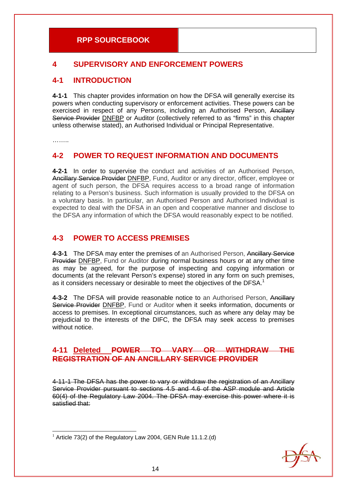# **4 SUPERVISORY AND ENFORCEMENT POWERS**

# **4-1 INTRODUCTION**

**4-1-1** This chapter provides information on how the DFSA will generally exercise its powers when conducting supervisory or enforcement activities. These powers can be exercised in respect of any Persons, including an Authorised Person, Ancillary Service Provider DNFBP or Auditor (collectively referred to as "firms" in this chapter unless otherwise stated), an Authorised Individual or Principal Representative.

………

# **4-2 POWER TO REQUEST INFORMATION AND DOCUMENTS**

**4-2-1** In order to supervise the conduct and activities of an Authorised Person, Ancillary Service Provider DNFBP, Fund, Auditor or any director, officer, employee or agent of such person, the DFSA requires access to a broad range of information relating to a Person's business. Such information is usually provided to the DFSA on a voluntary basis. In particular, an Authorised Person and Authorised Individual is expected to deal with the DFSA in an open and cooperative manner and disclose to the DFSA any information of which the DFSA would reasonably expect to be notified.

# **4-3 POWER TO ACCESS PREMISES**

**4-3-1** The DFSA may enter the premises of an Authorised Person, Ancillary Service Provider DNFBP, Fund or Auditor during normal business hours or at any other time as may be agreed, for the purpose of inspecting and copying information or documents (at the relevant Person's expense) stored in any form on such premises, as it considers necessary or desirable to meet the objectives of the DFSA.<sup>1</sup>

**4-3-2** The DFSA will provide reasonable notice to an Authorised Person, Ancillary Service Provider DNFBP, Fund or Auditor when it seeks information, documents or access to premises. In exceptional circumstances, such as where any delay may be prejudicial to the interests of the DIFC, the DFSA may seek access to premises without notice.

# **4-11 Deleted POWER TO VARY OR WITHDRAW THE REGISTRATION OF AN ANCILLARY SERVICE PROVIDER**

4-11-1 The DFSA has the power to vary or withdraw the registration of an Ancillary Service Provider pursuant to sections 4.5 and 4.6 of the ASP module and Article 60(4) of the Regulatory Law 2004. The DFSA may exercise this power where it is satisfied that:



<sup>1</sup>  $1$  Article 73(2) of the Regulatory Law 2004, GEN Rule 11.1.2.(d)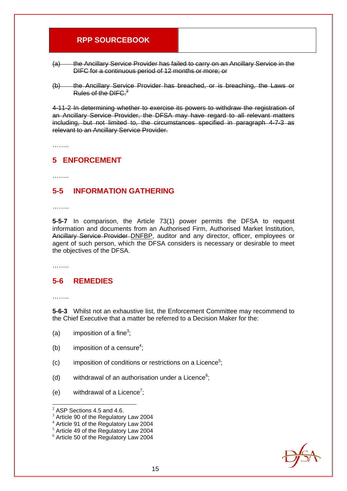- (a) the Ancillary Service Provider has failed to carry on an Ancillary Service in the DIFC for a continuous period of 12 months or more; or
- (b) the Ancillary Service Provider has breached, or is breaching, the Laws or Rules of the DIFC. $2^2$

4-11-2 In determining whether to exercise its powers to withdraw the registration of an Ancillary Service Provider, the DFSA may have regard to all relevant matters including, but not limited to, the circumstances specified in paragraph 4-7-3 as relevant to an Ancillary Service Provider.

………

## **5 ENFORCEMENT**

………

# **5-5 INFORMATION GATHERING**

………

**5-5-7** In comparison, the Article 73(1) power permits the DFSA to request information and documents from an Authorised Firm, Authorised Market Institution, Ancillary Service Provider DNFBP, auditor and any director, officer, employees or agent of such person, which the DFSA considers is necessary or desirable to meet the objectives of the DFSA.

………

# **5-6 REMEDIES**

………

1

**5-6-3** Whilst not an exhaustive list, the Enforcement Committee may recommend to the Chief Executive that a matter be referred to a Decision Maker for the:

- (a) imposition of a fine<sup>3</sup>;
- (b) imposition of a censure<sup>4</sup>;
- $(c)$  imposition of conditions or restrictions on a Licence<sup>5</sup>;
- (d) withdrawal of an authorisation under a Licence $6$ ;
- (e) withdrawal of a Licence<sup>7</sup>;



 $2$  ASP Sections 4.5 and 4.6.

 $3$  Article 90 of the Regulatory Law 2004

<sup>4</sup> Article 91 of the Regulatory Law 2004

<sup>5</sup> Article 49 of the Regulatory Law 2004

<sup>6</sup> Article 50 of the Regulatory Law 2004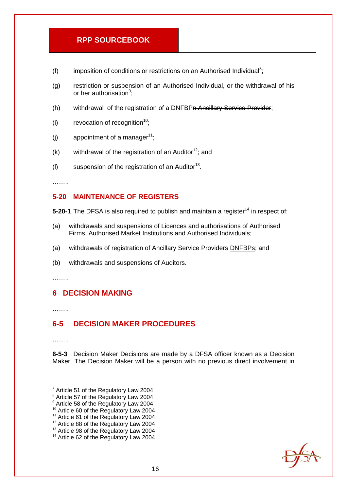- (f) imposition of conditions or restrictions on an Authorised Individual<sup>8</sup>;
- (g) restriction or suspension of an Authorised Individual, or the withdrawal of his or her authorisation<sup>9</sup>;
- (h) withdrawal of the registration of a DNFBPn Ancillary Service Provider;
- (i) revocation of recognition<sup>10</sup>;
- (i) appointment of a manager<sup>11</sup>:
- (k) withdrawal of the registration of an Auditor<sup>12</sup>; and
- (I) suspension of the registration of an Auditor<sup>13</sup>.

………

#### **5-20 MAINTENANCE OF REGISTERS**

- **5-20-1** The DFSA is also required to publish and maintain a register<sup>14</sup> in respect of:
- (a) withdrawals and suspensions of Licences and authorisations of Authorised Firms, Authorised Market Institutions and Authorised Individuals;
- (a) withdrawals of registration of Ancillary Service Providers DNFBPs; and
- (b) withdrawals and suspensions of Auditors.

………

# **6 DECISION MAKING**

………

# **6-5 DECISION MAKER PROCEDURES**

……..

**6-5-3** Decision Maker Decisions are made by a DFSA officer known as a Decision Maker. The Decision Maker will be a person with no previous direct involvement in

- 9 Article 58 of the Regulatory Law 2004
- <sup>10</sup> Article 60 of the Regulatory Law 2004
- <sup>11</sup> Article 61 of the Regulatory Law 2004
- <sup>12</sup> Article 88 of the Regulatory Law 2004
- <sup>13</sup> Article 98 of the Regulatory Law 2004 <sup>14</sup> Article 62 of the Regulatory Law 2004



<sup>-&</sup>lt;br>7  $7$  Article 51 of the Regulatory Law 2004 8 Article 57 of the Regulatory Law 2004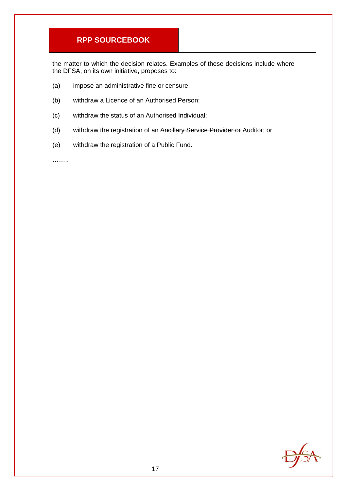the matter to which the decision relates. Examples of these decisions include where the DFSA, on its own initiative, proposes to:

- (a) impose an administrative fine or censure,
- (b) withdraw a Licence of an Authorised Person;
- (c) withdraw the status of an Authorised Individual;
- (d) withdraw the registration of an Ancillary Service Provider or Auditor; or
- (e) withdraw the registration of a Public Fund.

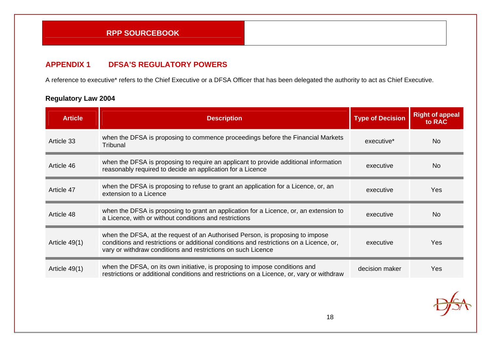## **APPENDIX 1 DFSA'S REGULATORY POWERS**

A reference to executive\* refers to the Chief Executive or a DFSA Officer that has been delegated the authority to act as Chief Executive.

| <b>Article</b>  | <b>Description</b>                                                                                                                                                                                                                       | <b>Type of Decision</b> | <b>Right of appeal</b><br>to RAC |
|-----------------|------------------------------------------------------------------------------------------------------------------------------------------------------------------------------------------------------------------------------------------|-------------------------|----------------------------------|
| Article 33      | when the DFSA is proposing to commence proceedings before the Financial Markets<br>Tribunal                                                                                                                                              | executive <sup>*</sup>  | N <sub>o</sub>                   |
| Article 46      | when the DFSA is proposing to require an applicant to provide additional information<br>reasonably required to decide an application for a Licence                                                                                       | executive               | N <sub>0</sub>                   |
| Article 47      | when the DFSA is proposing to refuse to grant an application for a Licence, or, an<br>extension to a Licence                                                                                                                             | executive               | Yes                              |
| Article 48      | when the DFSA is proposing to grant an application for a Licence, or, an extension to<br>a Licence, with or without conditions and restrictions                                                                                          | executive               | N <sub>0</sub>                   |
| Article $49(1)$ | when the DFSA, at the request of an Authorised Person, is proposing to impose<br>conditions and restrictions or additional conditions and restrictions on a Licence, or,<br>vary or withdraw conditions and restrictions on such Licence | executive               | Yes                              |
| Article 49(1)   | when the DFSA, on its own initiative, is proposing to impose conditions and<br>restrictions or additional conditions and restrictions on a Licence, or, vary or withdraw                                                                 | decision maker          | Yes                              |

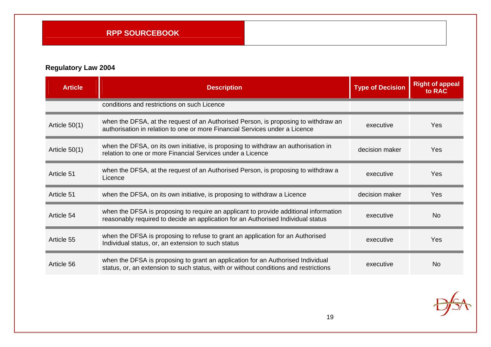| <b>Article</b>  | <b>Description</b>                                                                                                                                                       | <b>Type of Decision</b> | <b>Right of appeal</b><br>to RAC |
|-----------------|--------------------------------------------------------------------------------------------------------------------------------------------------------------------------|-------------------------|----------------------------------|
|                 | conditions and restrictions on such Licence                                                                                                                              |                         |                                  |
| Article $50(1)$ | when the DFSA, at the request of an Authorised Person, is proposing to withdraw an<br>authorisation in relation to one or more Financial Services under a Licence        | executive               | Yes                              |
| Article $50(1)$ | when the DFSA, on its own initiative, is proposing to withdraw an authorisation in<br>relation to one or more Financial Services under a Licence                         | decision maker          | Yes                              |
| Article 51      | when the DFSA, at the request of an Authorised Person, is proposing to withdraw a<br>Licence                                                                             | executive               | Yes                              |
| Article 51      | when the DFSA, on its own initiative, is proposing to withdraw a Licence                                                                                                 | decision maker          | Yes                              |
| Article 54      | when the DFSA is proposing to require an applicant to provide additional information<br>reasonably required to decide an application for an Authorised Individual status | executive               | <b>No</b>                        |
| Article 55      | when the DFSA is proposing to refuse to grant an application for an Authorised<br>Individual status, or, an extension to such status                                     | executive               | Yes                              |
| Article 56      | when the DFSA is proposing to grant an application for an Authorised Individual<br>status, or, an extension to such status, with or without conditions and restrictions  | executive               | <b>No</b>                        |

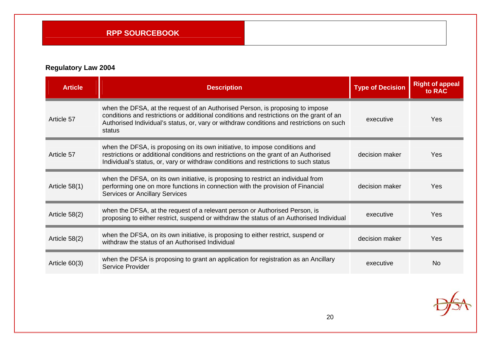| <b>Article</b> | <b>Description</b>                                                                                                                                                                                                                                                              | <b>Type of Decision</b> | <b>Right of appeal</b><br>to RAC |
|----------------|---------------------------------------------------------------------------------------------------------------------------------------------------------------------------------------------------------------------------------------------------------------------------------|-------------------------|----------------------------------|
| Article 57     | when the DFSA, at the request of an Authorised Person, is proposing to impose<br>conditions and restrictions or additional conditions and restrictions on the grant of an<br>Authorised Individual's status, or, vary or withdraw conditions and restrictions on such<br>status | executive               | <b>Yes</b>                       |
| Article 57     | when the DFSA, is proposing on its own initiative, to impose conditions and<br>restrictions or additional conditions and restrictions on the grant of an Authorised<br>Individual's status, or, vary or withdraw conditions and restrictions to such status                     | decision maker          | <b>Yes</b>                       |
| Article 58(1)  | when the DFSA, on its own initiative, is proposing to restrict an individual from<br>performing one on more functions in connection with the provision of Financial<br><b>Services or Ancillary Services</b>                                                                    | decision maker          | <b>Yes</b>                       |
| Article 58(2)  | when the DFSA, at the request of a relevant person or Authorised Person, is<br>proposing to either restrict, suspend or withdraw the status of an Authorised Individual                                                                                                         | executive               | <b>Yes</b>                       |
| Article 58(2)  | when the DFSA, on its own initiative, is proposing to either restrict, suspend or<br>withdraw the status of an Authorised Individual                                                                                                                                            | decision maker          | Yes                              |
| Article 60(3)  | when the DFSA is proposing to grant an application for registration as an Ancillary<br>Service Provider                                                                                                                                                                         | executive               | <b>No</b>                        |

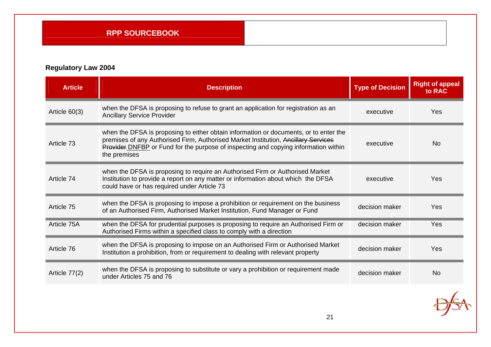| <b>Article</b> | <b>Description</b>                                                                                                                                                                                                                                                                 | <b>Type of Decision</b> | <b>Right of appeal</b><br>to RAC |
|----------------|------------------------------------------------------------------------------------------------------------------------------------------------------------------------------------------------------------------------------------------------------------------------------------|-------------------------|----------------------------------|
| Article 60(3)  | when the DFSA is proposing to refuse to grant an application for registration as an<br><b>Ancillary Service Provider</b>                                                                                                                                                           | executive               | Yes                              |
| Article 73     | when the DFSA is proposing to either obtain information or documents, or to enter the<br>premises of any Authorised Firm, Authorised Market Institution, Aneillary Services<br>Provider DNFBP or Fund for the purpose of inspecting and copying information within<br>the premises | executive               | <b>No</b>                        |
| Article 74     | when the DFSA is proposing to require an Authorised Firm or Authorised Market<br>Institution to provide a report on any matter or information about which the DFSA<br>could have or has required under Article 73                                                                  | executive               | Yes                              |
| Article 75     | when the DFSA is proposing to impose a prohibition or requirement on the business<br>of an Authorised Firm, Authorised Market Institution, Fund Manager or Fund                                                                                                                    | decision maker          | Yes                              |
| Article 75A    | when the DFSA for prudential purposes is proposing to require an Authorised Firm or<br>Authorised Firms within a specified class to comply with a direction                                                                                                                        | decision maker          | Yes                              |
| Article 76     | when the DFSA is proposing to impose on an Authorised Firm or Authorised Market<br>Institution a prohibition, from or requirement to dealing with relevant property                                                                                                                | decision maker          | Yes                              |
| Article 77(2)  | when the DFSA is proposing to substitute or vary a prohibition or requirement made<br>under Articles 75 and 76                                                                                                                                                                     | decision maker          | <b>No</b>                        |

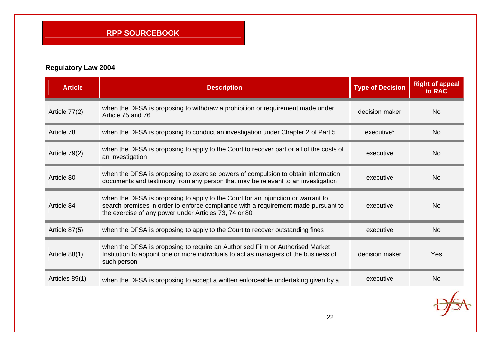| <b>Article</b> | <b>Description</b>                                                                                                                                                                                                              | <b>Type of Decision</b> | <b>Right of appeal</b><br>to RAC |
|----------------|---------------------------------------------------------------------------------------------------------------------------------------------------------------------------------------------------------------------------------|-------------------------|----------------------------------|
| Article 77(2)  | when the DFSA is proposing to withdraw a prohibition or requirement made under<br>Article 75 and 76                                                                                                                             | decision maker          | <b>No</b>                        |
| Article 78     | when the DFSA is proposing to conduct an investigation under Chapter 2 of Part 5                                                                                                                                                | executive <sup>*</sup>  | <b>No</b>                        |
| Article 79(2)  | when the DFSA is proposing to apply to the Court to recover part or all of the costs of<br>an investigation                                                                                                                     | executive               | <b>No</b>                        |
| Article 80     | when the DFSA is proposing to exercise powers of compulsion to obtain information,<br>documents and testimony from any person that may be relevant to an investigation                                                          | executive               | <b>No</b>                        |
| Article 84     | when the DFSA is proposing to apply to the Court for an injunction or warrant to<br>search premises in order to enforce compliance with a requirement made pursuant to<br>the exercise of any power under Articles 73, 74 or 80 | executive               | <b>No</b>                        |
| Article 87(5)  | when the DFSA is proposing to apply to the Court to recover outstanding fines                                                                                                                                                   | executive               | <b>No</b>                        |
| Article 88(1)  | when the DFSA is proposing to require an Authorised Firm or Authorised Market<br>Institution to appoint one or more individuals to act as managers of the business of<br>such person                                            | decision maker          | Yes                              |
| Articles 89(1) | when the DFSA is proposing to accept a written enforceable undertaking given by a                                                                                                                                               | executive               | <b>No</b>                        |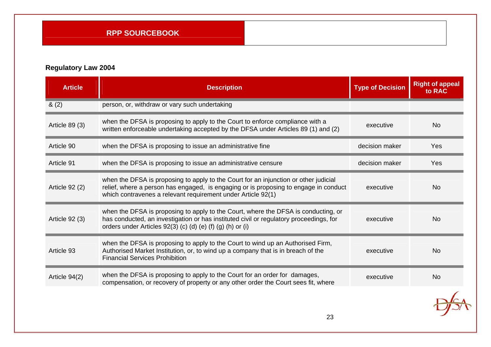| <b>Article</b> | <b>Description</b>                                                                                                                                                                                                                           | <b>Type of Decision</b> | <b>Right of appeal</b><br>to RAC |
|----------------|----------------------------------------------------------------------------------------------------------------------------------------------------------------------------------------------------------------------------------------------|-------------------------|----------------------------------|
| 8(2)           | person, or, withdraw or vary such undertaking                                                                                                                                                                                                |                         |                                  |
| Article 89 (3) | when the DFSA is proposing to apply to the Court to enforce compliance with a<br>written enforceable undertaking accepted by the DFSA under Articles 89 (1) and (2)                                                                          | executive               | <b>No</b>                        |
| Article 90     | when the DFSA is proposing to issue an administrative fine                                                                                                                                                                                   | decision maker          | Yes                              |
| Article 91     | when the DFSA is proposing to issue an administrative censure                                                                                                                                                                                | decision maker          | Yes                              |
| Article 92 (2) | when the DFSA is proposing to apply to the Court for an injunction or other judicial<br>relief, where a person has engaged, is engaging or is proposing to engage in conduct<br>which contravenes a relevant requirement under Article 92(1) | executive               | <b>No</b>                        |
| Article 92 (3) | when the DFSA is proposing to apply to the Court, where the DFSA is conducting, or<br>has conducted, an investigation or has instituted civil or regulatory proceedings, for<br>orders under Articles 92(3) (c) (d) (e) (f) (g) (h) or (i)   | executive               | <b>No</b>                        |
| Article 93     | when the DFSA is proposing to apply to the Court to wind up an Authorised Firm,<br>Authorised Market Institution, or, to wind up a company that is in breach of the<br><b>Financial Services Prohibition</b>                                 | executive               | <b>No</b>                        |
| Article 94(2)  | when the DFSA is proposing to apply to the Court for an order for damages,<br>compensation, or recovery of property or any other order the Court sees fit, where                                                                             | executive               | <b>No</b>                        |
|                |                                                                                                                                                                                                                                              |                         |                                  |

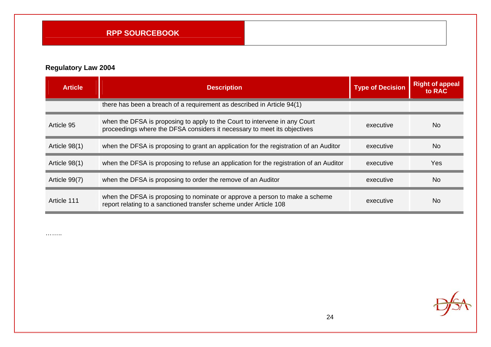# **Regulatory Law 2004**

| <b>Article</b> | <b>Description</b>                                                                                                                                     | <b>Type of Decision</b> | <b>Right of appeal</b><br>to RAC |
|----------------|--------------------------------------------------------------------------------------------------------------------------------------------------------|-------------------------|----------------------------------|
|                | there has been a breach of a requirement as described in Article 94(1)                                                                                 |                         |                                  |
| Article 95     | when the DFSA is proposing to apply to the Court to intervene in any Court<br>proceedings where the DFSA considers it necessary to meet its objectives | executive               | <b>No</b>                        |
| Article 98(1)  | when the DFSA is proposing to grant an application for the registration of an Auditor                                                                  | executive               | No.                              |
| Article 98(1)  | when the DFSA is proposing to refuse an application for the registration of an Auditor                                                                 | executive               | Yes                              |
| Article 99(7)  | when the DFSA is proposing to order the remove of an Auditor                                                                                           | executive               | <b>No</b>                        |
| Article 111    | when the DFSA is proposing to nominate or approve a person to make a scheme<br>report relating to a sanctioned transfer scheme under Article 108       | executive               | N <sub>0</sub>                   |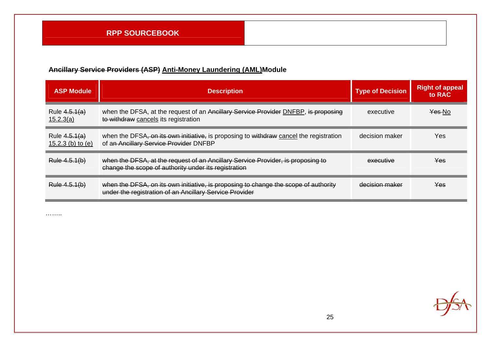# **Ancillary Service Providers (ASP) Anti-Money Laundering (AML)Module**

| <b>ASP Module</b>                      | <b>Description</b>                                                                                                                             | <b>Type of Decision</b> | <b>Right of appeal</b><br>to RAC |
|----------------------------------------|------------------------------------------------------------------------------------------------------------------------------------------------|-------------------------|----------------------------------|
| Rule $4.5.1(a)$<br>15.2.3(a)           | when the DFSA, at the request of an Ancillary Service Provider DNFBP, is proposing<br>to withdraw cancels its registration                     | executive               | Yes No                           |
| Rule $4.5.1(a)$<br>15.2.3 (b) to $(e)$ | when the DFSA, on its own initiative, is proposing to withdraw cancel the registration<br>of an Ancillary Service Provider DNFBP               | decision maker          | Yes                              |
| Rule 4.5.1(b)                          | when the DFSA, at the request of an Ancillary Service Provider, is proposing to<br>change the scope of authority under its registration        | executive               | <b>Yes</b>                       |
| Rule 4.5.1(b)                          | when the DFSA, on its own initiative, is proposing to change the scope of authority<br>under the registration of an Ancillary Service Provider | decision maker          | Yes.                             |